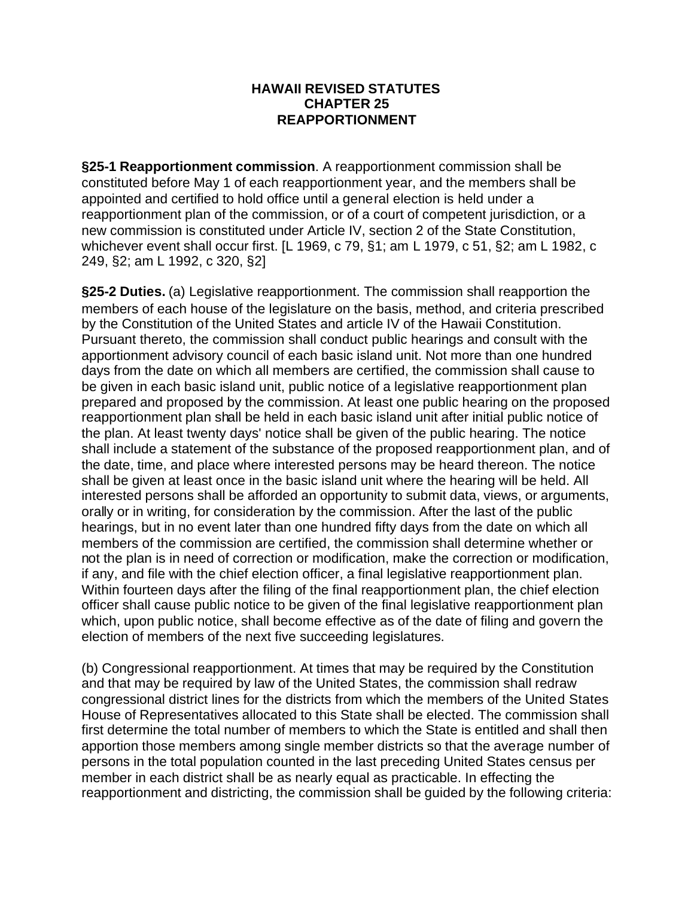## **HAWAII REVISED STATUTES CHAPTER 25 REAPPORTIONMENT**

**§25-1 Reapportionment commission**. A reapportionment commission shall be constituted before May 1 of each reapportionment year, and the members shall be appointed and certified to hold office until a general election is held under a reapportionment plan of the commission, or of a court of competent jurisdiction, or a new commission is constituted under Article IV, section 2 of the State Constitution, whichever event shall occur first. [L 1969, c 79, §1; am L 1979, c 51, §2; am L 1982, c 249, §2; am L 1992, c 320, §2]

**§25-2 Duties.** (a) Legislative reapportionment. The commission shall reapportion the members of each house of the legislature on the basis, method, and criteria prescribed by the Constitution of the United States and article IV of the Hawaii Constitution. Pursuant thereto, the commission shall conduct public hearings and consult with the apportionment advisory council of each basic island unit. Not more than one hundred days from the date on which all members are certified, the commission shall cause to be given in each basic island unit, public notice of a legislative reapportionment plan prepared and proposed by the commission. At least one public hearing on the proposed reapportionment plan shall be held in each basic island unit after initial public notice of the plan. At least twenty days' notice shall be given of the public hearing. The notice shall include a statement of the substance of the proposed reapportionment plan, and of the date, time, and place where interested persons may be heard thereon. The notice shall be given at least once in the basic island unit where the hearing will be held. All interested persons shall be afforded an opportunity to submit data, views, or arguments, orally or in writing, for consideration by the commission. After the last of the public hearings, but in no event later than one hundred fifty days from the date on which all members of the commission are certified, the commission shall determine whether or not the plan is in need of correction or modification, make the correction or modification, if any, and file with the chief election officer, a final legislative reapportionment plan. Within fourteen days after the filing of the final reapportionment plan, the chief election officer shall cause public notice to be given of the final legislative reapportionment plan which, upon public notice, shall become effective as of the date of filing and govern the election of members of the next five succeeding legislatures.

(b) Congressional reapportionment. At times that may be required by the Constitution and that may be required by law of the United States, the commission shall redraw congressional district lines for the districts from which the members of the United States House of Representatives allocated to this State shall be elected. The commission shall first determine the total number of members to which the State is entitled and shall then apportion those members among single member districts so that the average number of persons in the total population counted in the last preceding United States census per member in each district shall be as nearly equal as practicable. In effecting the reapportionment and districting, the commission shall be guided by the following criteria: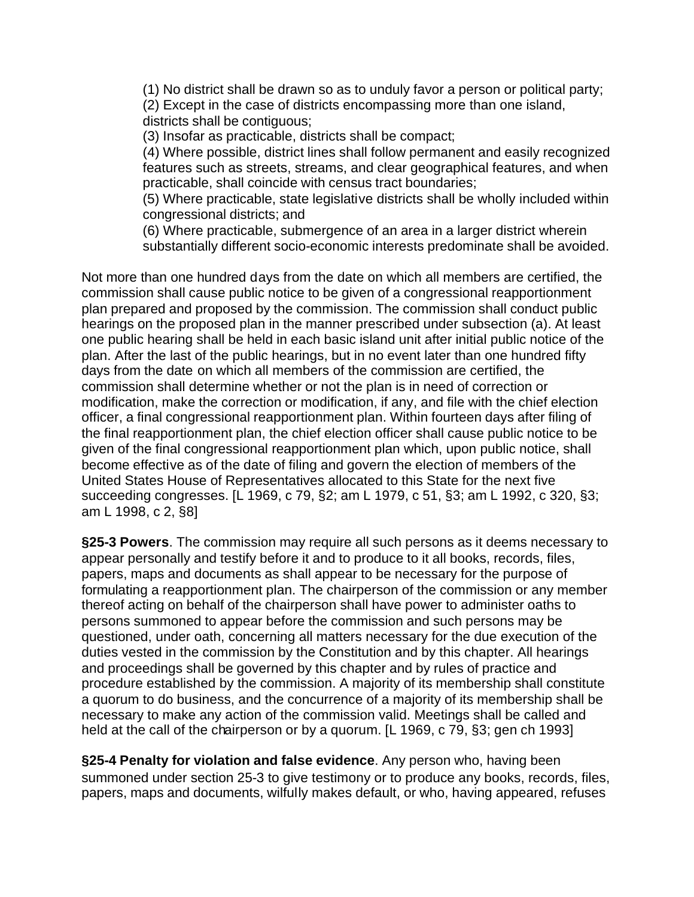(1) No district shall be drawn so as to unduly favor a person or political party; (2) Except in the case of districts encompassing more than one island, districts shall be contiguous;

(3) Insofar as practicable, districts shall be compact;

(4) Where possible, district lines shall follow permanent and easily recognized features such as streets, streams, and clear geographical features, and when practicable, shall coincide with census tract boundaries;

(5) Where practicable, state legislative districts shall be wholly included within congressional districts; and

(6) Where practicable, submergence of an area in a larger district wherein substantially different socio-economic interests predominate shall be avoided.

Not more than one hundred days from the date on which all members are certified, the commission shall cause public notice to be given of a congressional reapportionment plan prepared and proposed by the commission. The commission shall conduct public hearings on the proposed plan in the manner prescribed under subsection (a). At least one public hearing shall be held in each basic island unit after initial public notice of the plan. After the last of the public hearings, but in no event later than one hundred fifty days from the date on which all members of the commission are certified, the commission shall determine whether or not the plan is in need of correction or modification, make the correction or modification, if any, and file with the chief election officer, a final congressional reapportionment plan. Within fourteen days after filing of the final reapportionment plan, the chief election officer shall cause public notice to be given of the final congressional reapportionment plan which, upon public notice, shall become effective as of the date of filing and govern the election of members of the United States House of Representatives allocated to this State for the next five succeeding congresses. [L 1969, c 79, §2; am L 1979, c 51, §3; am L 1992, c 320, §3; am L 1998, c 2, §8]

**§25-3 Powers**. The commission may require all such persons as it deems necessary to appear personally and testify before it and to produce to it all books, records, files, papers, maps and documents as shall appear to be necessary for the purpose of formulating a reapportionment plan. The chairperson of the commission or any member thereof acting on behalf of the chairperson shall have power to administer oaths to persons summoned to appear before the commission and such persons may be questioned, under oath, concerning all matters necessary for the due execution of the duties vested in the commission by the Constitution and by this chapter. All hearings and proceedings shall be governed by this chapter and by rules of practice and procedure established by the commission. A majority of its membership shall constitute a quorum to do business, and the concurrence of a majority of its membership shall be necessary to make any action of the commission valid. Meetings shall be called and held at the call of the chairperson or by a quorum. [L 1969, c 79, §3; gen ch 1993]

**§25-4 Penalty for violation and false evidence**. Any person who, having been summoned under section 25-3 to give testimony or to produce any books, records, files, papers, maps and documents, wilfully makes default, or who, having appeared, refuses